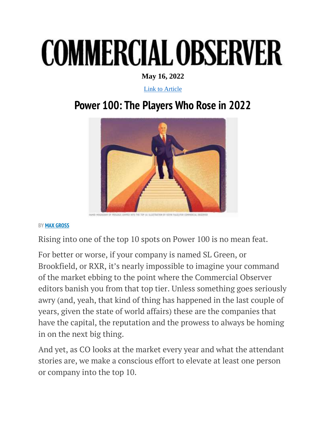## **COMMERCIAL OBSERVER**

**May 16, 2022**

[Link to Article](https://commercialobserver.com/2022/05/power-100-the-players-who-rose-in-2022/)

## **Power 100: The Players Who Rose in 2022**



**BY [MAX GROSS](https://commercialobserver.com/author/max-gross/)**

Rising into one of the top 10 spots on Power 100 is no mean feat.

For better or worse, if your company is named SL Green, or Brookfield, or RXR, it's nearly impossible to imagine your command of the market ebbing to the point where the Commercial Observer editors banish you from that top tier. Unless something goes seriously awry (and, yeah, that kind of thing has happened in the last couple of years, given the state of world affairs) these are the companies that have the capital, the reputation and the prowess to always be homing in on the next big thing.

And yet, as CO looks at the market every year and what the attendant stories are, we make a conscious effort to elevate at least one person or company into the top 10.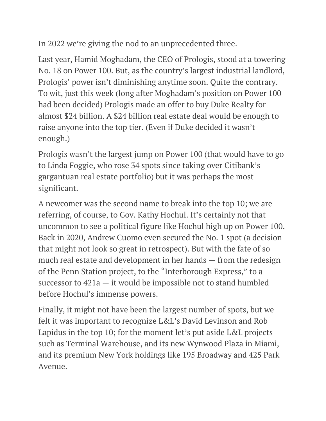In 2022 we're giving the nod to an unprecedented three.

Last year, Hamid Moghadam, the CEO of Prologis, stood at a towering No. 18 on Power 100. But, as the country's largest industrial landlord, Prologis' power isn't diminishing anytime soon. Quite the contrary. To wit, just this week (long after Moghadam's position on Power 100 had been decided) Prologis made an offer to buy Duke Realty for almost \$24 billion. A \$24 billion real estate deal would be enough to raise anyone into the top tier. (Even if Duke decided it wasn't enough.)

Prologis wasn't the largest jump on Power 100 (that would have to go to Linda Foggie, who rose 34 spots since taking over Citibank's gargantuan real estate portfolio) but it was perhaps the most significant.

A newcomer was the second name to break into the top 10; we are referring, of course, to Gov. Kathy Hochul. It's certainly not that uncommon to see a political figure like Hochul high up on Power 100. Back in 2020, Andrew Cuomo even secured the No. 1 spot (a decision that might not look so great in retrospect). But with the fate of so much real estate and development in her hands — from the redesign of the Penn Station project, to the "Interborough Express," to a successor to 421a — it would be impossible not to stand humbled before Hochul's immense powers.

Finally, it might not have been the largest number of spots, but we felt it was important to recognize L&L's David Levinson and Rob Lapidus in the top 10; for the moment let's put aside L&L projects such as Terminal Warehouse, and its new Wynwood Plaza in Miami, and its premium New York holdings like 195 Broadway and 425 Park Avenue.